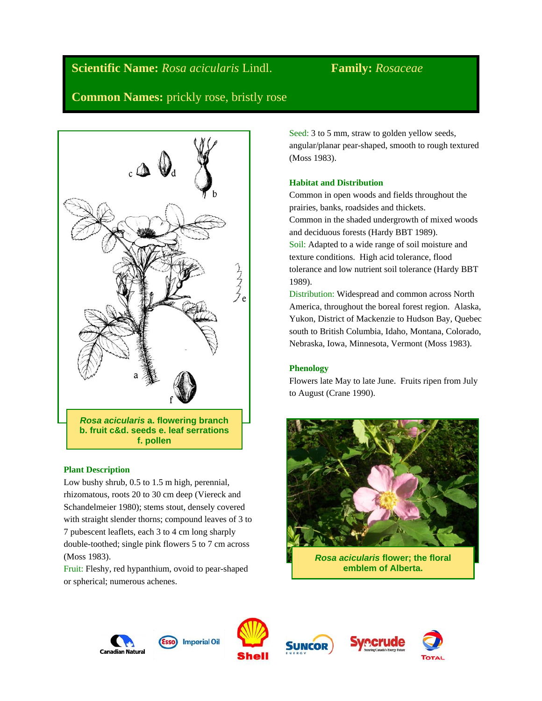# **Scientific Name:** *Rosa acicularis* Lindl. **Family:** *Rosaceae*

**Common Names:** prickly rose, bristly rose



# **Plant Description**

Low bushy shrub, 0.5 to 1.5 m high, perennial, rhizomatous, roots 20 to 30 cm deep (Viereck and Schandelmeier 1980); stems stout, densely covered with straight slender thorns; compound leaves of 3 to 7 pubescent leaflets, each 3 to 4 cm long sharply double-toothed; single pink flowers 5 to 7 cm across (Moss 1983).

Fruit: Fleshy, red hypanthium, ovoid to pear-shaped or spherical; numerous achenes.

Seed: 3 to 5 mm, straw to golden yellow seeds, angular/planar pear-shaped, smooth to rough textured (Moss 1983).

# **Habitat and Distribution**

Common in open woods and fields throughout the prairies, banks, roadsides and thickets. Common in the shaded undergrowth of mixed woods and deciduous forests (Hardy BBT 1989). Soil: Adapted to a wide range of soil moisture and texture conditions. High acid tolerance, flood tolerance and low nutrient soil tolerance (Hardy BBT 1989).

Distribution: Widespread and common across North America, throughout the boreal forest region. Alaska, Yukon, District of Mackenzie to Hudson Bay, Quebec south to British Columbia, Idaho, Montana, Colorado, Nebraska, Iowa, Minnesota, Vermont (Moss 1983).

# **Phenology**

Flowers late May to late June. Fruits ripen from July to August (Crane 1990).



*Rosa acicularis* **flower; the floral emblem of Alberta.**









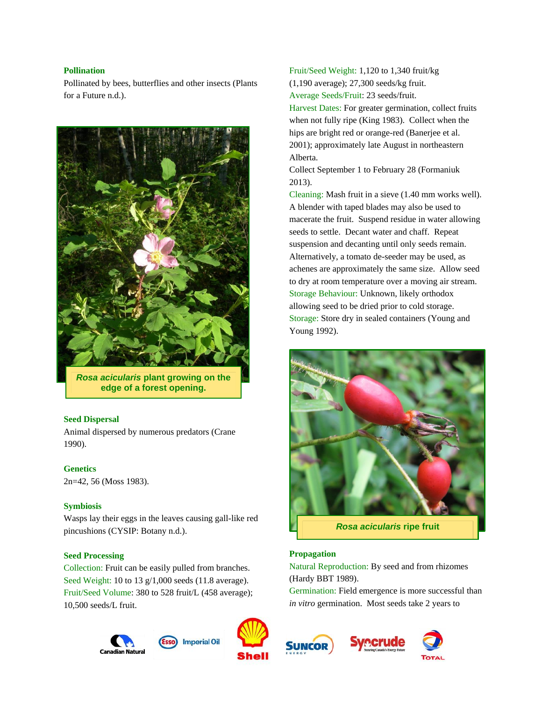# **Pollination**

Pollinated by bees, butterflies and other insects (Plants for a Future n.d.).



*Rosa acicularis* **plant growing on the edge of a forest opening.**

# **Seed Dispersal**

Animal dispersed by numerous predators (Crane 1990).

# **Genetics**

2n=42, 56 (Moss 1983).

# **Symbiosis**

Wasps lay their eggs in the leaves causing gall-like red pincushions (CYSIP: Botany n.d.).

#### **Seed Processing**

Collection: Fruit can be easily pulled from branches. Seed Weight: 10 to 13 g/1,000 seeds (11.8 average). Fruit/Seed Volume: 380 to 528 fruit/L (458 average); 10,500 seeds/L fruit.







Fruit/Seed Weight: 1,120 to 1,340 fruit/kg (1,190 average); 27,300 seeds/kg fruit. Average Seeds/Fruit: 23 seeds/fruit.

Harvest Dates: For greater germination, collect fruits when not fully ripe (King 1983). Collect when the hips are bright red or orange-red (Banerjee et al. 2001); approximately late August in northeastern Alberta.

Collect September 1 to February 28 (Formaniuk 2013).

Cleaning: Mash fruit in a sieve (1.40 mm works well). A blender with taped blades may also be used to macerate the fruit. Suspend residue in water allowing seeds to settle. Decant water and chaff. Repeat suspension and decanting until only seeds remain. Alternatively, a tomato de-seeder may be used, as achenes are approximately the same size. Allow seed to dry at room temperature over a moving air stream. Storage Behaviour: Unknown, likely orthodox allowing seed to be dried prior to cold storage. Storage: Store dry in sealed containers (Young and Young 1992).



*Rosa acicularis* **ripe fruit**

# **Propagation**

Natural Reproduction: By seed and from rhizomes (Hardy BBT 1989).

Germination: Field emergence is more successful than *in vitro* germination. Most seeds take 2 years to





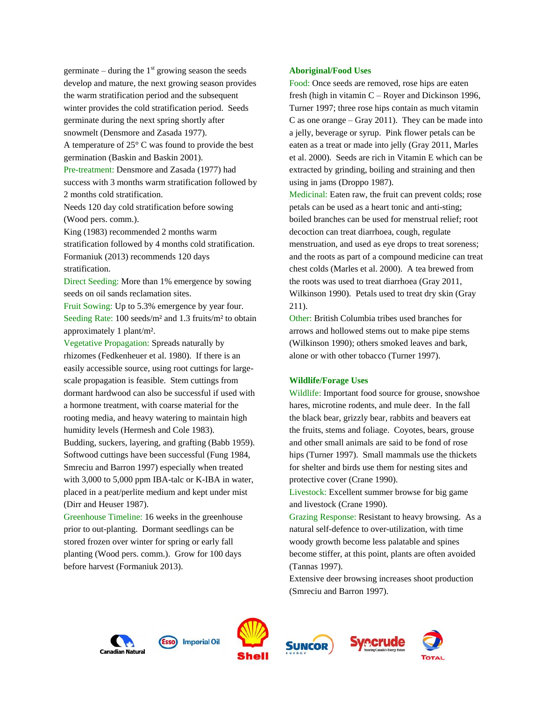germinate – during the  $1<sup>st</sup>$  growing season the seeds develop and mature, the next growing season provides the warm stratification period and the subsequent winter provides the cold stratification period. Seeds germinate during the next spring shortly after snowmelt (Densmore and Zasada 1977).

A temperature of 25° C was found to provide the best germination (Baskin and Baskin 2001).

Pre-treatment: Densmore and Zasada (1977) had success with 3 months warm stratification followed by 2 months cold stratification.

Needs 120 day cold stratification before sowing (Wood pers. comm.).

King (1983) recommended 2 months warm stratification followed by 4 months cold stratification. Formaniuk (2013) recommends 120 days stratification.

Direct Seeding: More than 1% emergence by sowing seeds on oil sands reclamation sites.

Fruit Sowing: Up to 5.3% emergence by year four. Seeding Rate: 100 seeds/m<sup>2</sup> and 1.3 fruits/m<sup>2</sup> to obtain approximately 1 plant/m².

Vegetative Propagation: Spreads naturally by rhizomes (Fedkenheuer et al. 1980). If there is an easily accessible source, using root cuttings for largescale propagation is feasible. Stem cuttings from dormant hardwood can also be successful if used with a hormone treatment, with coarse material for the rooting media, and heavy watering to maintain high humidity levels (Hermesh and Cole 1983). Budding, suckers, layering, and grafting (Babb 1959). Softwood cuttings have been successful (Fung 1984, Smreciu and Barron 1997) especially when treated with 3,000 to 5,000 ppm IBA-talc or K-IBA in water, placed in a peat/perlite medium and kept under mist (Dirr and Heuser 1987).

Greenhouse Timeline: 16 weeks in the greenhouse prior to out-planting. Dormant seedlings can be stored frozen over winter for spring or early fall planting (Wood pers. comm.). Grow for 100 days before harvest (Formaniuk 2013).

#### **Aboriginal/Food Uses**

Food: Once seeds are removed, rose hips are eaten fresh (high in vitamin C – Royer and Dickinson 1996, Turner 1997; three rose hips contain as much vitamin C as one orange – Gray 2011). They can be made into a jelly, beverage or syrup. Pink flower petals can be eaten as a treat or made into jelly (Gray 2011, Marles et al. 2000). Seeds are rich in Vitamin E which can be extracted by grinding, boiling and straining and then using in jams (Droppo 1987).

Medicinal: Eaten raw, the fruit can prevent colds; rose petals can be used as a heart tonic and anti-sting; boiled branches can be used for menstrual relief; root decoction can treat diarrhoea, cough, regulate menstruation, and used as eye drops to treat soreness; and the roots as part of a compound medicine can treat chest colds (Marles et al. 2000). A tea brewed from the roots was used to treat diarrhoea (Gray 2011, Wilkinson 1990). Petals used to treat dry skin (Gray 211).

Other: British Columbia tribes used branches for arrows and hollowed stems out to make pipe stems (Wilkinson 1990); others smoked leaves and bark, alone or with other tobacco (Turner 1997).

#### **Wildlife/Forage Uses**

Wildlife: Important food source for grouse, snowshoe hares, microtine rodents, and mule deer. In the fall the black bear, grizzly bear, rabbits and beavers eat the fruits, stems and foliage. Coyotes, bears, grouse and other small animals are said to be fond of rose hips (Turner 1997). Small mammals use the thickets for shelter and birds use them for nesting sites and protective cover (Crane 1990).

Livestock: Excellent summer browse for big game and livestock (Crane 1990).

Grazing Response: Resistant to heavy browsing. As a natural self-defence to over-utilization, with time woody growth become less palatable and spines become stiffer, at this point, plants are often avoided (Tannas 1997).

Extensive deer browsing increases shoot production (Smreciu and Barron 1997).

**ecrude** 









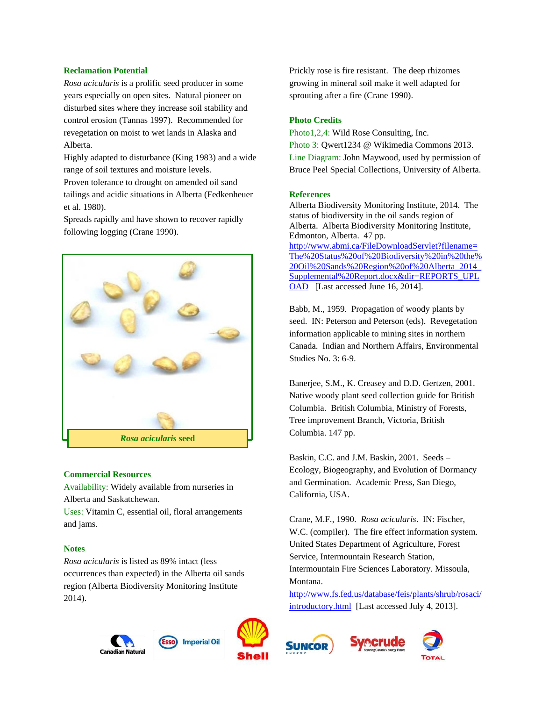## **Reclamation Potential**

*Rosa acicularis* is a prolific seed producer in some years especially on open sites. Natural pioneer on disturbed sites where they increase soil stability and control erosion (Tannas 1997). Recommended for revegetation on moist to wet lands in Alaska and Alberta.

Highly adapted to disturbance (King 1983) and a wide range of soil textures and moisture levels.

Proven tolerance to drought on amended oil sand tailings and acidic situations in Alberta (Fedkenheuer et al. 1980).

Spreads rapidly and have shown to recover rapidly following logging (Crane 1990).



#### **Commercial Resources**

Availability: Widely available from nurseries in Alberta and Saskatchewan.

Uses: Vitamin C, essential oil, floral arrangements and jams.

### **Notes**

*Rosa acicularis* is listed as 89% intact (less occurrences than expected) in the Alberta oil sands region (Alberta Biodiversity Monitoring Institute 2014).





Prickly rose is fire resistant. The deep rhizomes growing in mineral soil make it well adapted for sprouting after a fire (Crane 1990).

#### **Photo Credits**

Photo1,2,4: Wild Rose Consulting, Inc. Photo 3: Qwert1234 @ Wikimedia Commons 2013. Line Diagram: John Maywood, used by permission of Bruce Peel Special Collections, University of Alberta.

### **References**

Alberta Biodiversity Monitoring Institute, 2014. The status of biodiversity in the oil sands region of Alberta. Alberta Biodiversity Monitoring Institute, Edmonton, Alberta. 47 pp. [http://www.abmi.ca/FileDownloadServlet?filename=](http://www.abmi.ca/FileDownloadServlet?filename=The%20Status%20of%20Biodiversity%20in%20the%20Oil%20Sands%20Region%20of%20Alberta_2014_Supplemental%20Report.docx&dir=REPORTS_UPLOAD) [The%20Status%20of%20Biodiversity%20in%20the%](http://www.abmi.ca/FileDownloadServlet?filename=The%20Status%20of%20Biodiversity%20in%20the%20Oil%20Sands%20Region%20of%20Alberta_2014_Supplemental%20Report.docx&dir=REPORTS_UPLOAD) [20Oil%20Sands%20Region%20of%20Alberta\\_2014\\_](http://www.abmi.ca/FileDownloadServlet?filename=The%20Status%20of%20Biodiversity%20in%20the%20Oil%20Sands%20Region%20of%20Alberta_2014_Supplemental%20Report.docx&dir=REPORTS_UPLOAD) [Supplemental%20Report.docx&dir=REPORTS\\_UPL](http://www.abmi.ca/FileDownloadServlet?filename=The%20Status%20of%20Biodiversity%20in%20the%20Oil%20Sands%20Region%20of%20Alberta_2014_Supplemental%20Report.docx&dir=REPORTS_UPLOAD) [OAD](http://www.abmi.ca/FileDownloadServlet?filename=The%20Status%20of%20Biodiversity%20in%20the%20Oil%20Sands%20Region%20of%20Alberta_2014_Supplemental%20Report.docx&dir=REPORTS_UPLOAD) [Last accessed June 16, 2014].

Babb, M., 1959. Propagation of woody plants by seed. IN: Peterson and Peterson (eds). Revegetation information applicable to mining sites in northern Canada. Indian and Northern Affairs, Environmental Studies No.  $3.6-9$ .

Banerjee, S.M., K. Creasey and D.D. Gertzen, 2001. Native woody plant seed collection guide for British Columbia. British Columbia, Ministry of Forests, Tree improvement Branch, Victoria, British Columbia. 147 pp.

Baskin, C.C. and J.M. Baskin, 2001. Seeds – Ecology, Biogeography, and Evolution of Dormancy and Germination. Academic Press, San Diego, California, USA.

Crane, M.F., 1990. *Rosa acicularis*. IN: Fischer, W.C. (compiler). The fire effect information system. United States Department of Agriculture, Forest Service, Intermountain Research Station, Intermountain Fire Sciences Laboratory. Missoula, Montana.

[http://www.fs.fed.us/database/feis/plants/shrub/rosaci/](http://www.fs.fed.us/database/feis/plants/shrub/rosaci/introductory.html) [introductory.html](http://www.fs.fed.us/database/feis/plants/shrub/rosaci/introductory.html) [Last accessed July 4, 2013].



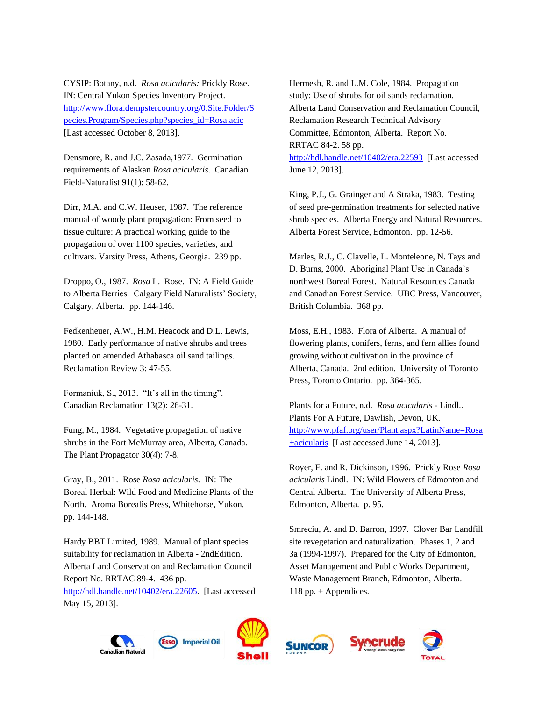CYSIP: Botany, n.d. *Rosa acicularis:* Prickly Rose. IN: Central Yukon Species Inventory Project. [http://www.flora.dempstercountry.org/0.Site.Folder/S](http://www.flora.dempstercountry.org/0.Site.Folder/Species.Program/Species.php?species_id=Rosa.acic) [pecies.Program/Species.php?species\\_id=Rosa.acic](http://www.flora.dempstercountry.org/0.Site.Folder/Species.Program/Species.php?species_id=Rosa.acic)  [Last accessed October 8, 2013].

Densmore, R. and J.C. Zasada,1977. Germination requirements of Alaskan *Rosa acicularis*. Canadian Field-Naturalist 91(1): 58-62.

Dirr, M.A. and C.W. Heuser, 1987. The reference manual of woody plant propagation: From seed to tissue culture: A practical working guide to the propagation of over 1100 species, varieties, and cultivars. Varsity Press, Athens, Georgia. 239 pp.

Droppo, O., 1987. *Rosa* L. Rose. IN: A Field Guide to Alberta Berries. Calgary Field Naturalists' Society, Calgary, Alberta. pp. 144-146.

Fedkenheuer, A.W., H.M. Heacock and D.L. Lewis, 1980. Early performance of native shrubs and trees planted on amended Athabasca oil sand tailings. Reclamation Review 3: 47-55.

Formaniuk, S., 2013. "It's all in the timing". Canadian Reclamation 13(2): 26-31.

Fung, M., 1984. Vegetative propagation of native shrubs in the Fort McMurray area, Alberta, Canada. The Plant Propagator 30(4): 7-8.

Gray, B., 2011. Rose *Rosa acicularis*. IN: The Boreal Herbal: Wild Food and Medicine Plants of the North. Aroma Borealis Press, Whitehorse, Yukon. pp. 144-148.

Hardy BBT Limited, 1989. Manual of plant species suitability for reclamation in Alberta - 2ndEdition. Alberta Land Conservation and Reclamation Council Report No. RRTAC 89-4. 436 pp. [http://hdl.handle.net/10402/era.22605.](http://hdl.handle.net/10402/era.22605) [Last accessed May 15, 2013].

Hermesh, R. and L.M. Cole, 1984. Propagation study: Use of shrubs for oil sands reclamation. Alberta Land Conservation and Reclamation Council, Reclamation Research Technical Advisory Committee, Edmonton, Alberta. Report No. RRTAC 84-2. 58 pp.

<http://hdl.handle.net/10402/era.22593>[Last accessed June 12, 2013].

King, P.J., G. Grainger and A Straka, 1983. Testing of seed pre-germination treatments for selected native shrub species. Alberta Energy and Natural Resources. Alberta Forest Service, Edmonton. pp. 12-56.

Marles, R.J., C. Clavelle, L. Monteleone, N. Tays and D. Burns, 2000. Aboriginal Plant Use in Canada's northwest Boreal Forest. Natural Resources Canada and Canadian Forest Service. UBC Press, Vancouver, British Columbia. 368 pp.

Moss, E.H., 1983. Flora of Alberta. A manual of flowering plants, conifers, ferns, and fern allies found growing without cultivation in the province of Alberta, Canada. 2nd edition. University of Toronto Press, Toronto Ontario. pp. 364-365.

Plants for a Future, n.d. *Rosa acicularis* - Lindl.. Plants For A Future, Dawlish, Devon, UK. [http://www.pfaf.org/user/Plant.aspx?LatinName=Rosa](http://www.pfaf.org/user/Plant.aspx?LatinName=Rosa+acicularis) [+acicularis](http://www.pfaf.org/user/Plant.aspx?LatinName=Rosa+acicularis) [Last accessed June 14, 2013].

Royer, F. and R. Dickinson, 1996. Prickly Rose *Rosa acicularis* Lindl. IN: Wild Flowers of Edmonton and Central Alberta. The University of Alberta Press, Edmonton, Alberta. p. 95.

Smreciu, A. and D. Barron, 1997. Clover Bar Landfill site revegetation and naturalization. Phases 1, 2 and 3a (1994-1997). Prepared for the City of Edmonton, Asset Management and Public Works Department, Waste Management Branch, Edmonton, Alberta. 118 pp. + Appendices.